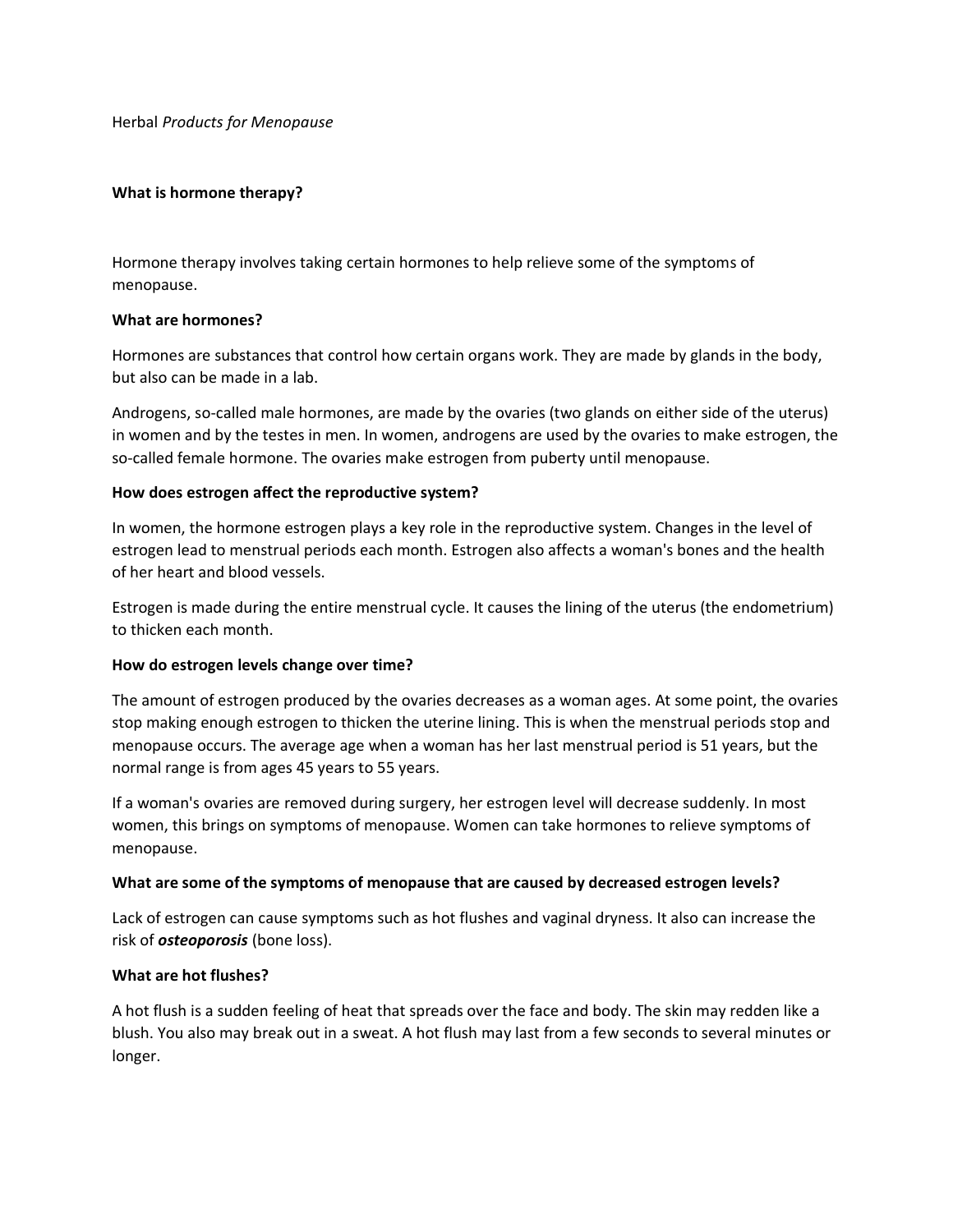Herbal *Products for Menopause* 

### **What is hormone therapy?**

Hormone therapy involves taking certain hormones to help relieve some of the symptoms of menopause.

### **What are hormones?**

Hormones are substances that control how certain organs work. They are made by glands in the body, but also can be made in a lab.

Androgens, so-called male hormones, are made by the ovaries (two glands on either side of the uterus) in women and by the testes in men. In women, androgens are used by the ovaries to make estrogen, the so-called female hormone. The ovaries make estrogen from puberty until menopause.

### **How does estrogen affect the reproductive system?**

In women, the hormone estrogen plays a key role in the reproductive system. Changes in the level of estrogen lead to menstrual periods each month. Estrogen also affects a woman's bones and the health of her heart and blood vessels.

Estrogen is made during the entire menstrual cycle. It causes the lining of the uterus (the endometrium) to thicken each month.

### **How do estrogen levels change over time?**

The amount of estrogen produced by the ovaries decreases as a woman ages. At some point, the ovaries stop making enough estrogen to thicken the uterine lining. This is when the menstrual periods stop and menopause occurs. The average age when a woman has her last menstrual period is 51 years, but the normal range is from ages 45 years to 55 years.

If a woman's ovaries are removed during surgery, her estrogen level will decrease suddenly. In most women, this brings on symptoms of menopause. Women can take hormones to relieve symptoms of menopause.

### **What are some of the symptoms of menopause that are caused by decreased estrogen levels?**

Lack of estrogen can cause symptoms such as hot flushes and vaginal dryness. It also can increase the risk of *osteoporosis* (bone loss).

### **What are hot flushes?**

A hot flush is a sudden feeling of heat that spreads over the face and body. The skin may redden like a blush. You also may break out in a sweat. A hot flush may last from a few seconds to several minutes or longer.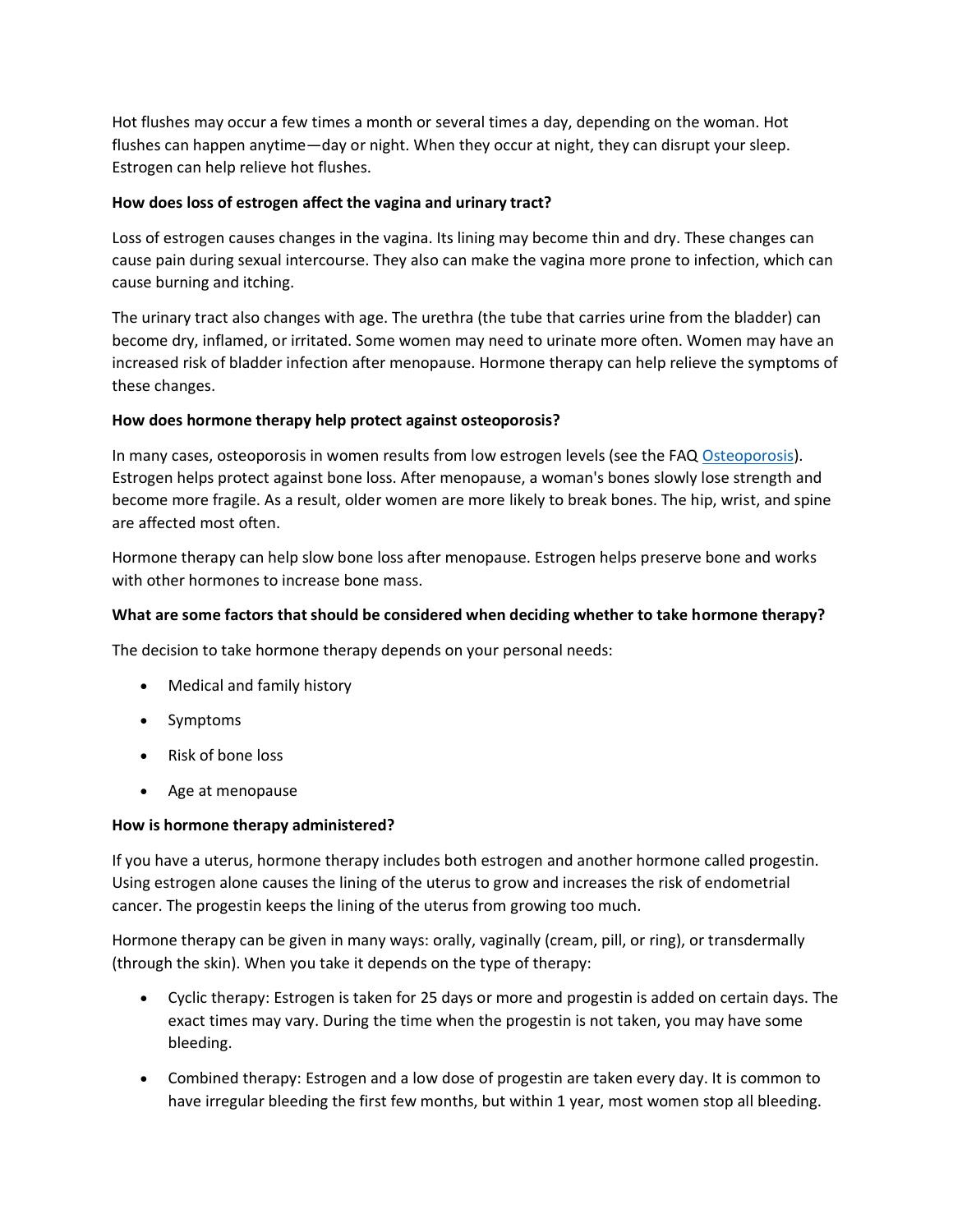Hot flushes may occur a few times a month or several times a day, depending on the woman. Hot flushes can happen anytime—day or night. When they occur at night, they can disrupt your sleep. Estrogen can help relieve hot flushes.

## **How does loss of estrogen affect the vagina and urinary tract?**

Loss of estrogen causes changes in the vagina. Its lining may become thin and dry. These changes can cause pain during sexual intercourse. They also can make the vagina more prone to infection, which can cause burning and itching.

The urinary tract also changes with age. The urethra (the tube that carries urine from the bladder) can become dry, inflamed, or irritated. Some women may need to urinate more often. Women may have an increased risk of bladder infection after menopause. Hormone therapy can help relieve the symptoms of these changes.

### **How does hormone therapy help protect against osteoporosis?**

In many cases, osteoporosis in women results from low estrogen levels (see the FAQ [Osteoporosis\)](http://www.acog.org/publications/faq/faq048.cfm). Estrogen helps protect against bone loss. After menopause, a woman's bones slowly lose strength and become more fragile. As a result, older women are more likely to break bones. The hip, wrist, and spine are affected most often.

Hormone therapy can help slow bone loss after menopause. Estrogen helps preserve bone and works with other hormones to increase bone mass.

# **What are some factors that should be considered when deciding whether to take hormone therapy?**

The decision to take hormone therapy depends on your personal needs:

- Medical and family history
- Symptoms
- Risk of bone loss
- Age at menopause

### **How is hormone therapy administered?**

If you have a uterus, hormone therapy includes both estrogen and another hormone called progestin. Using estrogen alone causes the lining of the uterus to grow and increases the risk of endometrial cancer. The progestin keeps the lining of the uterus from growing too much.

Hormone therapy can be given in many ways: orally, vaginally (cream, pill, or ring), or transdermally (through the skin). When you take it depends on the type of therapy:

- Cyclic therapy: Estrogen is taken for 25 days or more and progestin is added on certain days. The exact times may vary. During the time when the progestin is not taken, you may have some bleeding.
- Combined therapy: Estrogen and a low dose of progestin are taken every day. It is common to have irregular bleeding the first few months, but within 1 year, most women stop all bleeding.